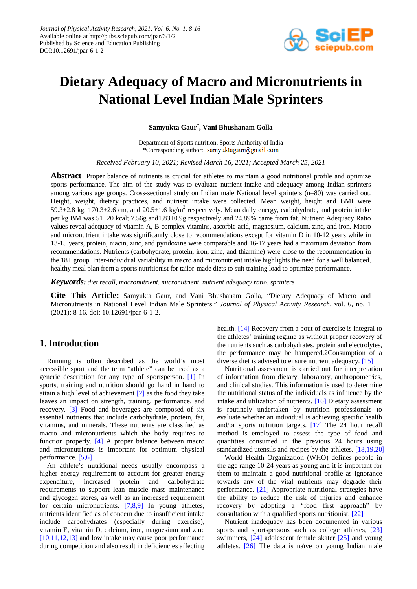

# **Dietary Adequacy of Macro and Micronutrients in National Level Indian Male Sprinters**

**Samyukta Gaur\* , Vani Bhushanam Golla**

Department of Sports nutrition, Sports Authority of India \*Corresponding author: samyuktagaur@gmail.com

*Received February 10, 2021; Revised March 16, 2021; Accepted March 25, 2021*

**Abstract** Proper balance of nutrients is crucial for athletes to maintain a good nutritional profile and optimize sports performance. The aim of the study was to evaluate nutrient intake and adequacy among Indian sprinters among various age groups. Cross-sectional study on Indian male National level sprinters (n=80) was carried out. Height, weight, dietary practices, and nutrient intake were collected. Mean weight, height and BMI were 59.3 $\pm$ 2.8 kg, 170.3 $\pm$ 2.6 cm, and 20.5 $\pm$ 1.6 kg/m<sup>2</sup> respectively. Mean daily energy, carbohydrate, and protein intake per kg BM was 51±20 kcal; 7.56g and1.83±0.9g respectively and 24.89% came from fat. Nutrient Adequacy Ratio values reveal adequacy of vitamin A, B-complex vitamins, ascorbic acid, magnesium, calcium, zinc, and iron. Macro and micronutrient intake was significantly close to recommendations except for vitamin D in 10-12 years while in 13-15 years, protein, niacin, zinc, and pyridoxine were comparable and 16-17 years had a maximum deviation from recommendations. Nutrients (carbohydrate, protein, iron, zinc, and thiamine) were close to the recommendation in the 18+ group. Inter-individual variability in macro and micronutrient intake highlights the need for a well balanced, healthy meal plan from a sports nutritionist for tailor-made diets to suit training load to optimize performance.

*Keywords: diet recall, macronutrient, micronutrient, nutrient adequacy ratio, sprinters*

**Cite This Article:** Samyukta Gaur, and Vani Bhushanam Golla, "Dietary Adequacy of Macro and Micronutrients in National Level Indian Male Sprinters." *Journal of Physical Activity Research*, vol. 6, no. 1 (2021): 8-16. doi: 10.12691/jpar-6-1-2.

# **1. Introduction**

Running is often described as the world's most accessible sport and the term "athlete" can be used as a generic description for any type of sportsperson. [\[1\]](#page-5-0) In sports, training and nutrition should go hand in hand to attain a high level of achievement [\[2\]](#page-5-1) as the food they take leaves an impact on strength, training, performance, and recovery. [\[3\]](#page-5-2) Food and beverages are composed of six essential nutrients that include carbohydrate, protein, fat, vitamins, and minerals. These nutrients are classified as macro and micronutrients which the body requires to function properly. [\[4\]](#page-5-3) A proper balance between macro and micronutrients is important for optimum physical performance. [\[5,6\]](#page-6-0)

An athlete's nutritional needs usually encompass a higher energy requirement to account for greater energy expenditure, increased protein and carbohydrate requirements to support lean muscle mass maintenance and glycogen stores, as well as an increased requirement for certain micronutrients. [\[7,8,9\]](#page-6-1) In young athletes, nutrients identified as of concern due to insufficient intake include carbohydrates (especially during exercise), vitamin E, vitamin D, calcium, iron, magnesium and zinc [\[10,11,12,13\]](#page-6-2) and low intake may cause poor performance during competition and also result in deficiencies affecting health. [\[14\]](#page-6-3) Recovery from a bout of exercise is integral to the athletes' training regime as without proper recovery of the nutrients such as carbohydrates, protein and electrolytes, the performance may be hampered.2Consumption of a diverse diet is advised to ensure nutrient adequacy. [\[15\]](#page-6-4)

Nutritional assessment is carried out for interpretation of information from dietary, laboratory, anthropometrics, and clinical studies. This information is used to determine the nutritional status of the individuals as influence by the intake and utilization of nutrients. [\[16\]](#page-6-5) Dietary assessment is routinely undertaken by nutrition professionals to evaluate whether an individual is achieving specific health and/or sports nutrition targets. [\[17\]](#page-6-6) The 24 hour recall method is employed to assess the type of food and quantities consumed in the previous 24 hours using standardized utensils and recipes by the athletes. [\[18,19,20\]](#page-6-7)

World Health Organization (WHO) defines people in the age range 10-24 years as young and it is important for them to maintain a good nutritional profile as ignorance towards any of the vital nutrients may degrade their performance. [\[21\]](#page-6-8) Appropriate nutritional strategies have the ability to reduce the risk of injuries and enhance recovery by adopting a "food first approach" by consultation with a qualified sports nutritionist. [\[22\]](#page-6-9)

Nutrient inadequacy has been documented in various sports and sportspersons such as college athletes, [\[23\]](#page-6-10) swimmers, [\[24\]](#page-6-11) adolescent female skater [\[25\]](#page-6-12) and young athletes. [\[26\]](#page-6-13) The data is naïve on young Indian male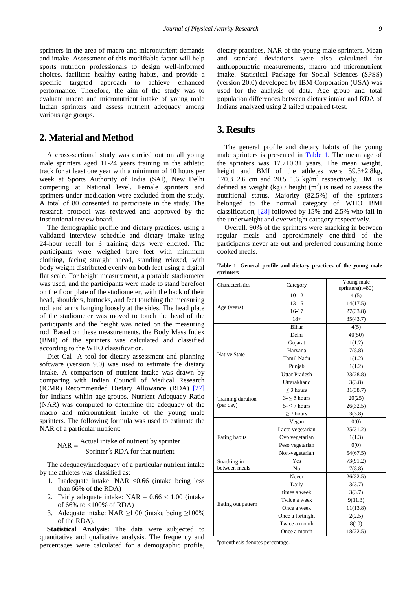sprinters in the area of macro and micronutrient demands and intake. Assessment of this modifiable factor will help sports nutrition professionals to design well-informed choices, facilitate healthy eating habits, and provide a specific targeted approach to achieve enhanced performance. Therefore, the aim of the study was to evaluate macro and micronutrient intake of young male Indian sprinters and assess nutrient adequacy among various age groups.

# **2. Material and Method**

A cross-sectional study was carried out on all young male sprinters aged 11-24 years training in the athletic track for at least one year with a minimum of 10 hours per week at Sports Authority of India (SAI), New Delhi competing at National level. Female sprinters and sprinters under medication were excluded from the study. A total of 80 consented to participate in the study. The research protocol was reviewed and approved by the Institutional review board.

The demographic profile and dietary practices, using a validated interview schedule and dietary intake using 24-hour recall for 3 training days were elicited. The participants were weighed bare feet with minimum clothing, facing straight ahead, standing relaxed, with body weight distributed evenly on both feet using a digital flat scale. For height measurement, a portable stadiometer was used, and the participants were made to stand barefoot on the floor plate of the stadiometer, with the back of their head, shoulders, buttocks, and feet touching the measuring rod, and arms hanging loosely at the sides. The head plate of the stadiometer was moved to touch the head of the participants and the height was noted on the measuring rod. Based on these measurements, the Body Mass Index (BMI) of the sprinters was calculated and classified according to the WHO classification.

Diet Cal- A tool for dietary assessment and planning software (version 9.0) was used to estimate the dietary intake. A comparison of nutrient intake was drawn by comparing with Indian Council of Medical Research (ICMR) Recommended Dietary Allowance (RDA) [\[27\]](#page-6-14) for Indians within age-groups. Nutrient Adequacy Ratio (NAR) was computed to determine the adequacy of the macro and micronutrient intake of the young male sprinters. The following formula was used to estimate the NAR of a particular nutrient:

$$
NAR = \frac{Actual\ intake\ of\ nutrient\ by\ sprinter}{Spring's\ RDA\ for\ that\ nutrient}
$$

The adequacy/inadequacy of a particular nutrient intake by the athletes was classified as:

- 1. Inadequate intake: NAR <0.66 (intake being less than 66% of the RDA)
- 2. Fairly adequate intake:  $NAR = 0.66 < 1.00$  (intake) of 66% to <100% of RDA)
- 3. Adequate intake: NAR  $\geq 1.00$  (intake being  $\geq 100\%$ ) of the RDA).

**Statistical Analysis**: The data were subjected to quantitative and qualitative analysis. The frequency and percentages were calculated for a demographic profile, dietary practices, NAR of the young male sprinters. Mean and standard deviations were also calculated for anthropometric measurements, macro and micronutrient intake. Statistical Package for Social Sciences (SPSS) (version 20.0) developed by IBM Corporation (USA) was used for the analysis of data. Age group and total population differences between dietary intake and RDA of Indians analyzed using 2 tailed unpaired t-test.

# **3. Results**

The general profile and dietary habits of the young male sprinters is presented in [Table 1.](#page-1-0) The mean age of the sprinters was  $17.7 \pm 0.31$  years. The mean weight, height and BMI of the athletes were 59.3±2.8kg,  $170.3 \pm 2.6$  cm and  $20.5 \pm 1.6$  kg/m<sup>2</sup> respectively. BMI is defined as weight  $(kg)$  / height  $(m<sup>2</sup>)$  is used to assess the nutritional status. Majority (82.5%) of the sprinters belonged to the normal category of WHO BMI classification; [\[28\]](#page-6-15) followed by 15% and 2.5% who fall in the underweight and overweight category respectively.

Overall, 90% of the sprinters were snacking in between regular meals and approximately one-third of the participants never ate out and preferred consuming home cooked meals.

**Table 1. General profile and dietary practices of the young male sprinters**

<span id="page-1-0"></span>

| Characteristics     | Young male<br>Category |                    |  |
|---------------------|------------------------|--------------------|--|
|                     |                        | sprinters $(n=80)$ |  |
|                     | $10-12$                | 4(5)               |  |
| Age (years)         | $13 - 15$              | 14(17.5)           |  |
|                     | $16 - 17$              | 27(33.8)           |  |
|                     | $18+$                  | 35(43.7)           |  |
|                     | <b>Bihar</b>           | 4(5)               |  |
|                     | Delhi                  | 40(50)             |  |
|                     | Gujarat                | 1(1.2)             |  |
| <b>Native State</b> | Haryana                | 7(8.8)             |  |
|                     | <b>Tamil Nadu</b>      | 1(1.2)             |  |
|                     | Punjab                 | 1(1.2)             |  |
|                     | <b>Uttar Pradesh</b>   | 23(28.8)           |  |
|                     | Uttarakhand            | 3(3.8)             |  |
|                     | $<$ 3 hours            | 31(38.7)           |  |
| Training duration   | $3 - 5$ hours          | 20(25)             |  |
| (per day)           | $5 - 7$ hours          | 26(32.5)           |  |
|                     | $\geq$ 7 hours         | 3(3.8)             |  |
|                     | Vegan                  | 0(0)               |  |
|                     | Lacto vegetarian       | 25(31.2)           |  |
| Eating habits       | Ovo vegetarian         | 1(1.3)             |  |
|                     | Peso vegetarian        | 0(0)               |  |
|                     | Non-vegetarian         | 54(67.5)           |  |
| Snacking in         | Yes                    | 73(91.2)           |  |
| between meals       | N <sub>o</sub>         | 7(8.8)             |  |
|                     | Never                  | 26(32.5)           |  |
| Eating out pattern  | Daily                  | 3(3.7)             |  |
|                     | times a week           | 3(3.7)             |  |
|                     | Twice a week           | 9(11.3)            |  |
|                     | Once a week            | 11(13.8)           |  |
|                     | Once a fortnight       | 2(2.5)             |  |
|                     | Twice a month          | 8(10)              |  |
|                     | Once a month           | 18(22.5)           |  |

# parenthesis denotes percentage.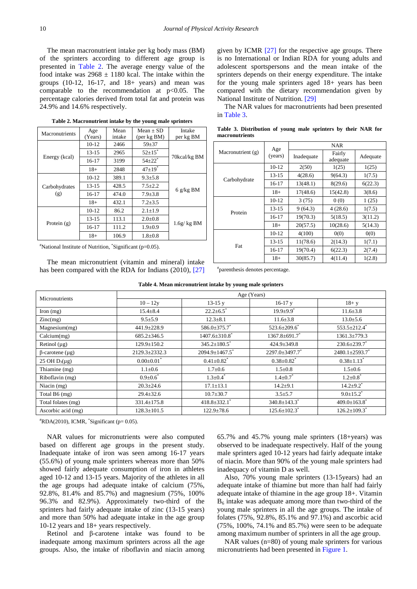The mean macronutrient intake per kg body mass (BM) of the sprinters according to different age group is presented in [Table 2.](#page-2-0) The average energy value of the food intake was  $2968 \pm 1180$  kcal. The intake within the groups  $(10-12, 16-17, and 18+ years)$  and mean was comparable to the recommendation at  $p<0.05$ . The percentage calories derived from total fat and protein was 24.9% and 14.6% respectively.

<span id="page-2-0"></span>

| Macronutrients       | Age<br>(Years) | Mean<br>intake | $Mean + SD$<br>(per kg BM) | Intake<br>per kg BM |  |
|----------------------|----------------|----------------|----------------------------|---------------------|--|
| Energy (kcal)        | $10-12$        | 2466           | $59 + 37$                  |                     |  |
|                      |                |                | $52 \pm 15$ <sup>*</sup>   |                     |  |
|                      | $13 - 15$      | 2965           |                            | 70kcal/kg BM        |  |
|                      | 16-17          | 3199           | $54{\pm}22$ <sup>*</sup>   |                     |  |
|                      | $18+$          | 2848           | $47+19$ <sup>*</sup>       |                     |  |
| Carbohydrates<br>(g) | 10-12          | 389.1          | $9.3 \pm 5.8$              |                     |  |
|                      | $13 - 15$      | 428.5          | $7.5 + 2.2$                |                     |  |
|                      | $16-17$        | 474.0          | $7.9 \pm 3.8$              | 6 $g/kg$ BM         |  |
|                      | $18+$          | 432.1          | $7.2 + 3.5$                |                     |  |
| Protein $(g)$        | $10-12$        | 86.2           | $2.1 \pm 1.9$              |                     |  |
|                      | $13 - 15$      | 113.1          | $2.0 \pm 0.8$              |                     |  |
|                      | $16-17$        | 111.2          | $1.9 \pm 0.9$              | $1.6g/kg$ BM        |  |
|                      | $18+$          | 106.9          | $1.8 + 0.8$                |                     |  |

**Table 2. Macronutrient intake by the young male sprinters**

# National Institute of Nutrition, \* Significant (p=0.05).

The mean micronutrient (vitamin and mineral) intake has been compared with the RDA for Indians (2010), [\[27\]](#page-6-14) given by ICMR [\[27\]](#page-6-14) for the respective age groups. There is no International or Indian RDA for young adults and adolescent sportspersons and the mean intake of the sprinters depends on their energy expenditure. The intake for the young male sprinters aged 18+ years has been compared with the dietary recommendation given by National Institute of Nutrition. [\[29\]](#page-6-16)

The NAR values for macronutrients had been presented in [Table 3.](#page-2-1)

<span id="page-2-1"></span>

| Macronutrient (g) | Age<br>(years) | <b>NAR</b> |                    |          |
|-------------------|----------------|------------|--------------------|----------|
|                   |                | Inadequate | Fairly<br>adequate | Adequate |
| Carbohydrate      | $10-12$        | 2(50)      | 1(25)              | 1(25)    |
|                   | 13-15          | 4(28.6)    | 9(64.3)            | 1(7.5)   |
|                   | 16-17          | 13(48.1)   | 8(29.6)            | 6(22.3)  |
|                   | $18+$          | 17(48.6)   | 15(42.8)           | 3(8.6)   |
| Protein           | $10-12$        | 3(75)      | 0(0)               | 1(25)    |
|                   | $13 - 15$      | 9(64.3)    | 4(28.6)            | 1(7.5)   |
|                   | 16-17          | 19(70.3)   | 5(18.5)            | 3(11.2)  |
|                   | $18+$          | 20(57.5)   | 10(28.6)           | 5(14.3)  |
| Fat               | $10-12$        | 4(100)     | 0(0)               | 0(0)     |
|                   | 13-15          | 11(78.6)   | 2(14.3)            | 1(7.1)   |
|                   | 16-17          | 19(70.4)   | 6(22.3)            | 2(7.4)   |
|                   | $18+$          | 30(85.7)   | 4(11.4)            | 1(2.8)   |

**Table 3. Distribution of young male sprinters by their NAR for macronutrients**

# parenthesis denotes percentage.

<span id="page-2-2"></span>

| ruone n'incun micromatrichi manie o come mane sprinters |                   |                                  |                                |                                |  |
|---------------------------------------------------------|-------------------|----------------------------------|--------------------------------|--------------------------------|--|
| Micronutrients                                          | Age (Years)       |                                  |                                |                                |  |
|                                                         | $10 - 12y$        | $13-15y$                         | $16-17y$                       | $18 + y$                       |  |
| Iron $(mg)$                                             | $15.4 \pm 8.4$    | $22.2 \pm 6.5$ <sup>*</sup>      | $19.9 \pm 9.9$ <sup>*</sup>    | $11.6 \pm 3.8$                 |  |
| $\text{Zinc}(mg)$                                       | $9.5 \pm 5.9$     | $12.3 \pm 8.1$                   | $11.6 \pm 3.8$                 | $13.0 \pm 5.6$                 |  |
| Magnesium(mg)                                           | 441.9±228.9       | 586.0±375.7 <sup>*</sup>         | $523.6 \pm 209.6$              | $553.5 \pm 212.4$ <sup>*</sup> |  |
| Calcium(mg)                                             | $685.2 \pm 346.5$ | $1407.6 \pm 310.8$ <sup>*</sup>  | $1367.8 \pm 691.7$ *           | $1361.3 \pm 779.3$             |  |
| Retinol $(\mu g)$                                       | $129.9 \pm 150.2$ | $345.2 \pm 180.5$ <sup>*</sup>   | $424.9 \pm 349.8$              | $230.6 \pm 239.7$              |  |
| $\beta$ -carotene (µg)                                  | 2129.3±2332.3     | $2094.9 \pm 1467.5$ <sup>*</sup> | $2297.0 \pm 3497.7$            | $2480.1 \pm 2593.7$            |  |
| 25 OH $D_3(\mu g)$                                      | $0.00 \pm 0.01$   | $0.41 \pm 0.82$ <sup>*</sup>     | $0.38 \pm 0.82$ <sup>*</sup>   | $0.38 \pm 1.13$ <sup>*</sup>   |  |
| Thiamine (mg)                                           | $1.1 \pm 0.6$     | $1.7 \pm 0.6$                    | $1.5 \pm 0.8$                  | $1.5 \pm 0.6$                  |  |
| Riboflavin (mg)                                         | $0.9 \pm 0.6^*$   | $1.3 \pm 0.4^*$                  | $1.4 \pm 0.7$                  | $1.2{\pm}0.8$                  |  |
| Niacin (mg)                                             | $20.3 \pm 24.6$   | $17.1 \pm 13.1$                  | $14.2 + 9.1$                   | $14.2 \pm 9.2$ <sup>*</sup>    |  |
| Total B6 (mg)                                           | $29.4 \pm 32.6$   | $10.7 \pm 30.7$                  | $3.5 + 5.7$                    | $9.0 \pm 15.2$ <sup>*</sup>    |  |
| Total folates (mg)                                      | $331.4 \pm 175.8$ | $418.8 \pm 332.1$ <sup>*</sup>   | $340.8 \pm 143.3$ <sup>*</sup> | $409.0 \pm 163.8$ <sup>*</sup> |  |
| Ascorbic acid (mg)                                      | $128.3 \pm 101.5$ | $122.9 \pm 78.6$                 | $125.6 \pm 102.3$ <sup>*</sup> | $126.2 \pm 109.3$ <sup>*</sup> |  |

**Table 4. Mean micronutrient intake by young male sprinters**

 $*$ RDA(2010), ICMR,  $*$ Significant (p= 0.05).

NAR values for micronutrients were also computed based on different age groups in the present study. Inadequate intake of iron was seen among 16-17 years (55.6%) of young male sprinters whereas more than 50% showed fairly adequate consumption of iron in athletes aged 10-12 and 13-15 years. Majority of the athletes in all the age groups had adequate intake of calcium (75%, 92.8%, 81.4% and 85.7%) and magnesium (75%, 100% 96.3% and 82.9%). Approximately two-third of the sprinters had fairly adequate intake of zinc (13-15 years) and more than 50% had adequate intake in the age group 10-12 years and 18+ years respectively.

Retinol and β-carotene intake was found to be inadequate among maximum sprinters across all the age groups. Also, the intake of riboflavin and niacin among 65.7% and 45.7% young male sprinters (18+years) was observed to be inadequate respectively. Half of the young male sprinters aged 10-12 years had fairly adequate intake of niacin. More than 90% of the young male sprinters had inadequacy of vitamin D as well.

Also, 70% young male sprinters (13-15years) had an adequate intake of thiamine but more than half had fairly adequate intake of thiamine in the age group 18+. Vitamin  $B<sub>6</sub>$  intake was adequate among more than two-third of the young male sprinters in all the age groups. The intake of folates (75%, 92.8%, 85.1% and 97.1%) and ascorbic acid (75%, 100%, 74.1% and 85.7%) were seen to be adequate among maximum number of sprinters in all the age group.

NAR values (n=80) of young male sprinters for various micronutrients had been presented in [Figure 1.](#page-3-0)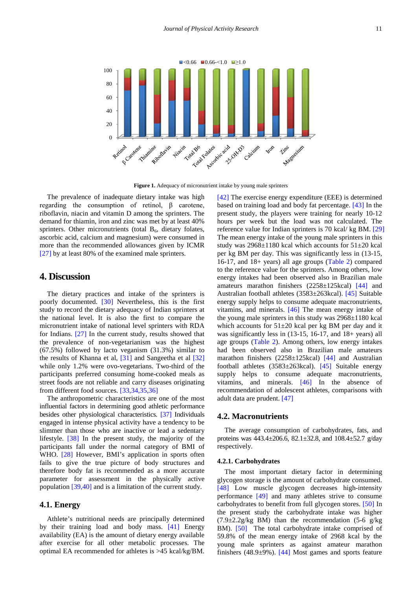<span id="page-3-0"></span>

**Figure 1.** Adequacy of micronutrient intake by young male sprinters

The prevalence of inadequate dietary intake was high regarding the consumption of retinol, β carotene, riboflavin, niacin and vitamin D among the sprinters. The demand for thiamin, iron and zinc was met by at least 40% sprinters. Other micronutrients (total  $B<sub>6</sub>$ , dietary folates, ascorbic acid, calcium and magnesium) were consumed in more than the recommended allowances given by ICMR [\[27\]](#page-6-14) by at least 80% of the examined male sprinters.

# **4. Discussion**

The dietary practices and intake of the sprinters is poorly documented. [\[30\]](#page-6-17) Nevertheless, this is the first study to record the dietary adequacy of Indian sprinters at the national level. It is also the first to compare the micronutrient intake of national level sprinters with RDA for Indians. [\[27\]](#page-6-14) In the current study, results showed that the prevalence of non-vegetarianism was the highest (67.5%) followed by lacto veganism (31.3%) similar to the results of Khanna et al, [\[31\]](#page-6-18) and Sangeetha et al [\[32\]](#page-6-19) while only 1.2% were ovo-vegetarians. Two-third of the participants preferred consuming home-cooked meals as street foods are not reliable and carry diseases originating from different food sources. [\[33,34,35,36\]](#page-6-20)

The anthropometric characteristics are one of the most influential factors in determining good athletic performance besides other physiological characteristics. [\[37\]](#page-6-21) Individuals engaged in intense physical activity have a tendency to be slimmer than those who are inactive or lead a sedentary lifestyle. [\[38\]](#page-6-22) In the present study, the majority of the participants fall under the normal category of BMI of WHO. [\[28\]](#page-6-15) However, BMI's application in sports often fails to give the true picture of body structures and therefore body fat is recommended as a more accurate parameter for assessment in the physically active population [\[39,40\]](#page-6-23) and is a limitation of the current study.

# **4.1. Energy**

Athlete's nutritional needs are principally determined by their training load and body mass. [\[41\]](#page-6-24) Energy availability (EA) is the amount of dietary energy available after exercise for all other metabolic processes. The optimal EA recommended for athletes is >45 kcal/kg/BM.

[\[42\]](#page-6-25) The exercise energy expenditure (EEE) is determined based on training load and body fat percentage. [\[43\]](#page-6-26) In the present study, the players were training for nearly 10-12 hours per week but the load was not calculated. The reference value for Indian sprinters is 70 kcal/ kg BM. [\[29\]](#page-6-16) The mean energy intake of the young male sprinters in this study was  $2968\pm1180$  kcal which accounts for  $51\pm20$  kcal per kg BM per day. This was significantly less in (13-15, 16-17, and 18+ years) all age groups [\(Table 2\)](#page-2-0) compared to the reference value for the sprinters. Among others, low energy intakes had been observed also in Brazilian male amateurs marathon finishers (2258±125kcal) [\[44\]](#page-6-27) and Australian football athletes (3583±263kcal). [\[45\]](#page-6-28) Suitable energy supply helps to consume adequate macronutrients, vitamins, and minerals. [\[46\]](#page-6-29) The mean energy intake of the young male sprinters in this study was 2968±1180 kcal which accounts for  $51\pm20$  kcal per kg BM per day and it was significantly less in (13-15, 16-17, and 18+ years) all age groups [\(Table 2\)](#page-2-0). Among others, low energy intakes had been observed also in Brazilian male amateurs marathon finishers (2258±125kcal) [\[44\]](#page-6-27) and Australian football athletes  $(3583\pm 263 \text{kcal})$ . [\[45\]](#page-6-28) Suitable energy supply helps to consume adequate macronutrients, vitamins, and minerals. [\[46\]](#page-6-29) In the absence of recommendation of adolescent athletes, comparisons with adult data are prudent. [\[47\]](#page-6-30)

## **4.2. Macronutrients**

The average consumption of carbohydrates, fats, and proteins was 443.4±206.6, 82.1±32.8, and 108.4±52.7 g/day respectively.

### **4.2.1. Carbohydrates**

The most important dietary factor in determining glycogen storage is the amount of carbohydrate consumed. [\[48\]](#page-6-31) Low muscle glycogen decreases high-intensity performance [\[49\]](#page-7-0) and many athletes strive to consume carbohydrates to benefit from full glycogen stores. [\[50\]](#page-7-1) In the present study the carbohydrate intake was higher  $(7.9\pm 2.2$ g/kg BM) than the recommendation  $(5-6)$  g/kg BM). [\[50\]](#page-7-1) The total carbohydrate intake comprised of 59.8% of the mean energy intake of 2968 kcal by the young male sprinters as against amateur marathon finishers (48.9 $\pm$ 9%). [\[44\]](#page-6-27) Most games and sports feature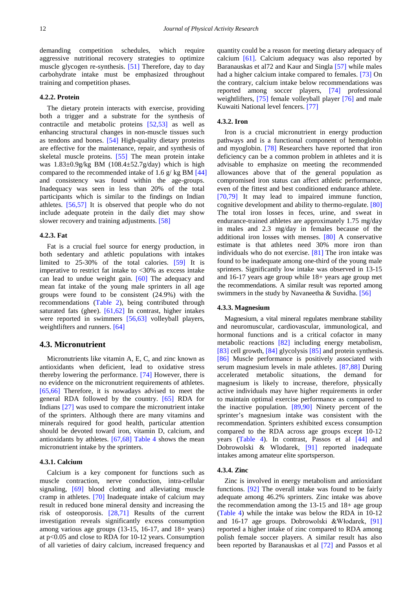demanding competition schedules, which require aggressive nutritional recovery strategies to optimize muscle glycogen re-synthesis. [\[51\]](#page-7-2) Therefore, day to day carbohydrate intake must be emphasized throughout training and competition phases.

## **4.2.2. Protein**

The dietary protein interacts with exercise, providing both a trigger and a substrate for the synthesis of contractile and metabolic proteins [\[52,53\]](#page-7-3) as well as enhancing structural changes in non-muscle tissues such as tendons and bones. [\[54\]](#page-7-4) High-quality dietary proteins are effective for the maintenance, repair, and synthesis of skeletal muscle proteins. [\[55\]](#page-7-5) The mean protein intake was 1.83±0.9g/kg BM (108.4±52.7g/day) which is high compared to the recommended intake of 1.6 g/ kg BM [\[44\]](#page-6-27) and consistency was found within the age-groups. Inadequacy was seen in less than 20% of the total participants which is similar to the findings on Indian athletes. [\[56,57\]](#page-7-6) It is observed that people who do not include adequate protein in the daily diet may show slower recovery and training adjustments. [\[58\]](#page-7-7)

### **4.2.3. Fat**

Fat is a crucial fuel source for energy production, in both sedentary and athletic populations with intakes limited to 25-30% of the total calories. [\[59\]](#page-7-8) It is imperative to restrict fat intake to <30% as excess intake can lead to undue weight gain. [\[60\]](#page-7-9) The adequacy and mean fat intake of the young male sprinters in all age groups were found to be consistent (24.9%) with the recommendations [\(Table 2\)](#page-2-0), being contributed through saturated fats (ghee). [\[61,62\]](#page-7-10) In contrast, higher intakes were reported in swimmers [\[56,63\]](#page-7-6) volleyball players, weightlifters and runners. [\[64\]](#page-7-11)

# **4.3. Micronutrient**

Micronutrients like vitamin A, E, C, and zinc known as antioxidants when deficient, lead to oxidative stress thereby lowering the performance. [\[74\]](#page-7-12) However, there is no evidence on the micronutrient requirements of athletes. [\[65,66\]](#page-7-13) Therefore, it is nowadays advised to meet the general RDA followed by the country. [\[65\]](#page-7-13) RDA for Indians [\[27\]](#page-6-14) was used to compare the micronutrient intake of the sprinters. Although there are many vitamins and minerals required for good health, particular attention should be devoted toward iron, vitamin D, calcium, and antioxidants by athletes. [\[67,68\]](#page-7-14) [Table 4](#page-2-2) shows the mean micronutrient intake by the sprinters.

### **4.3.1. Calcium**

Calcium is a key component for functions such as muscle contraction, nerve conduction, intra-cellular signaling, [\[69\]](#page-7-15) blood clotting and alleviating muscle cramp in athletes. [\[70\]](#page-7-16) Inadequate intake of calcium may result in reduced bone mineral density and increasing the risk of osteoporosis. [\[28,71\]](#page-6-15) Results of the current investigation reveals significantly excess consumption among various age groups (13-15, 16-17, and 18+ years) at p<0.05 and close to RDA for 10-12 years. Consumption of all varieties of dairy calcium, increased frequency and quantity could be a reason for meeting dietary adequacy of calcium [\[61\].](#page-7-10) Calcium adequacy was also reported by Baranauskas et al72 and Kaur and Singla [\[57\]](#page-7-17) while males had a higher calcium intake compared to females. [\[73\]](#page-7-18) On the contrary, calcium intake below recommendations was reported among soccer players, [\[74\]](#page-7-12) professional weightlifters, [\[75\]](#page-7-19) female volleyball player [\[76\]](#page-7-20) and male Kuwaiti National level fencers. [\[77\]](#page-7-21)

### **4.3.2. Iron**

Iron is a crucial micronutrient in energy production pathways and is a functional component of hemoglobin and myoglobin. [\[78\]](#page-7-22) Researchers have reported that iron deficiency can be a common problem in athletes and it is advisable to emphasize on meeting the recommended allowances above that of the general population as compromised iron status can affect athletic performance, even of the fittest and best conditioned endurance athlete. [\[70,79\]](#page-7-16) It may lead to impaired immune function, cognitive development and ability to thermo-regulate. [\[80\]](#page-7-23) The total iron losses in feces, urine, and sweat in endurance-trained athletes are approximately 1.75 mg/day in males and 2.3 mg/day in females because of the additional iron losses with menses. [\[80\]](#page-7-23) A conservative estimate is that athletes need 30% more iron than individuals who do not exercise. [\[81\]](#page-7-24) The iron intake was found to be inadequate among one-third of the young male sprinters. Significantly low intake was observed in 13-15 and 16-17 years age group while 18+ years age group met the recommendations. A similar result was reported among swimmers in the study by Navaneetha & Suvidha. [\[56\]](#page-7-6)

#### **4.3.3. Magnesium**

Magnesium, a vital mineral regulates membrane stability and neuromuscular, cardiovascular, immunological, and hormonal functions and is a critical cofactor in many metabolic reactions [\[82\]](#page-7-25) including energy metabolism, [\[83\]](#page-7-26) cell growth, [\[84\]](#page-7-27) glycolysis [\[85\]](#page-7-28) and protein synthesis. [\[86\]](#page-7-29) Muscle performance is positively associated with serum magnesium levels in male athletes. [\[87,88\]](#page-7-30) During accelerated metabolic situations, the demand for magnesium is likely to increase, therefore, physically active individuals may have higher requirements in order to maintain optimal exercise performance as compared to the inactive population. [\[89,90\]](#page-7-31) Ninety percent of the sprinter's magnesium intake was consistent with the recommendation. Sprinters exhibited excess consumption compared to the RDA across age groups except 10-12 years [\(Table 4\)](#page-2-2). In contrast, Passos et al [\[44\]](#page-6-27) and Dobrowolski & Wlodarek, [\[91\]](#page-7-32) reported inadequate intakes among amateur elite sportsperson.

### **4.3.4. Zinc**

Zinc is involved in energy metabolism and antioxidant functions. [\[92\]](#page-7-33) The overall intake was found to be fairly adequate among 46.2% sprinters. Zinc intake was above the recommendation among the 13-15 and 18+ age group [\(Table 4\)](#page-2-2) while the intake was below the RDA in 10-12 and 16-17 age groups. Dobrowolski &Włodarek, [\[91\]](#page-7-32) reported a higher intake of zinc compared to RDA among polish female soccer players. A similar result has also been reported by Baranauskas et al [\[72\]](#page-7-34) and Passos et al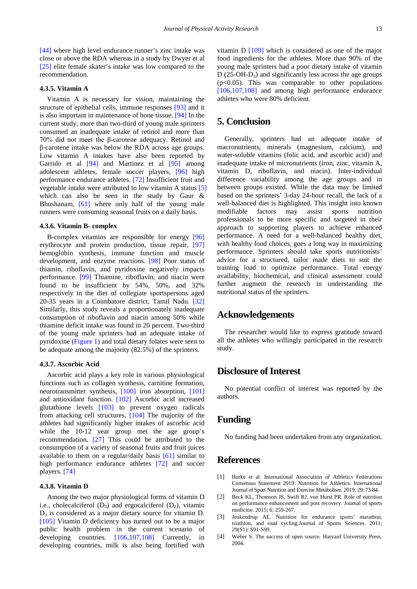[\[44\]](#page-6-27) where high level endurance runner's zinc intake was close or above the RDA whereas in a study by Dwyer et al [\[25\]](#page-6-12) elite female skater's intake was low compared to the recommendation.

# **4.3.5. Vitamin A**

Vitamin A is necessary for vision, maintaining the structure of epithelial cells, immune responses [\[93\]](#page-7-35) and it is also important in maintenance of bone tissue. [\[94\]](#page-7-36) In the current study, more than two-third of young male sprinters consumed an inadequate intake of retinol and more than 70% did not meet the β-carotene adequacy. Retinol and β-carotene intake was below the RDA across age groups. Low vitamin A intakes have also been reported by Garrido et al [\[94\]](#page-7-36) and Martinez et al [\[95\]](#page-7-37) among adolescent athletes, female soccer players, [\[96\]](#page-7-38) high performance endurance athletes. [\[72\]](#page-7-34) Insufficient fruit and vegetable intake were attributed to low vitamin A status [\[5\]](#page-6-0) which can also be seen in the study by Gaur & Bhushanam, [\[61\]](#page-7-10) where only half of the young male runners were consuming seasonal fruits on a daily basis.

# **4.3.6. Vitamin B- complex**

B-complex vitamins are responsible for energy [\[96\]](#page-7-38) erythrocyte and protein production, tissue repair, [\[97\]](#page-8-0) hemoglobin synthesis, immune function and muscle development, and enzyme reactions. [\[98\]](#page-8-1) Poor status of thiamin, riboflavin, and pyridoxine negatively impacts performance. [\[99\]](#page-8-2) Thiamine, riboflavin, and niacin were found to be insufficient by 54%, 50%, and 32% respectively in the diet of collegiate sportspersons aged 20-35 years in a Coimbatore district, Tamil Nadu. [\[32\]](#page-6-19) Similarly, this study reveals a proportionately inadequate consumption of riboflavin and niacin among 50% while thiamine deficit intake was found in 20 percent. Two-third of the young male sprinters had an adequate intake of pyridoxine [\(Figure 1\)](#page-3-0) and total dietary folates were seen to be adequate among the majority (82.5%) of the sprinters.

### **4.3.7. Ascorbic Acid**

Ascorbic acid plays a key role in various physiological functions such as collagen synthesis, carnitine formation, neurotransmitter synthesis, [\[100\]](#page-8-3) iron absorption, [\[101\]](#page-8-4) and antioxidant function. [\[102\]](#page-8-5) Ascorbic acid increased glutathione levels [\[103\]](#page-8-6) to prevent oxygen radicals from attacking cell structures. [\[104\]](#page-8-7) The majority of the athletes had significantly higher intakes of ascorbic acid while the 10-12 year group met the age group's recommendation. [\[27\]](#page-6-14) This could be attributed to the consumption of a variety of seasonal fruits and fruit juices available to them on a regular/daily basis [\[61\]](#page-7-10) similar to high performance endurance athletes [\[72\]](#page-7-34) and soccer players. [\[74\]](#page-7-12)

### **4.3.8. Vitamin D**

Among the two major physiological forms of vitamin D i.e., cholecalciferol  $(D_3)$  and ergocalciferol  $(D_2)$ , vitamin  $D_3$  is considered as a major dietary source for vitamin D. [\[105\]](#page-8-8) Vitamin D deficiency has turned out to be a major public health problem in the current scenario of developing countries. [\[106,107,108\]](#page-8-9) Currently, in developing countries, milk is also being fortified with vitamin D [\[109\]](#page-8-10) which is considered as one of the major food ingredients for the athletes. More than 90% of the young male sprinters had a poor dietary intake of vitamin  $D(25-OH-D<sub>3</sub>)$  and significantly less across the age groups  $(p<0.05)$ . This was comparable to other populations [\[106,107,108\]](#page-8-9) and among high performance endurance athletes who were 80% deficient.

# **5. Conclusion**

Generally, sprinters had an adequate intake of macronutrients, minerals (magnesium, calcium), and water-soluble vitamins (folic acid, and ascorbic acid) and inadequate intake of micronutrients (iron, zinc, vitamin A, vitamin D, riboflavin, and niacin). Inter-individual difference variability among the age groups and in between groups existed. While the data may be limited based on the sprinters' 3-day 24-hour recall, the lack of a well-balanced diet is highlighted. This insight into known modifiable factors may assist sports nutrition professionals to be more specific and targeted in their approach to supporting players to achieve enhanced performance. A need for a well-balanced healthy diet, with healthy food choices, goes a long way in maximizing performance. Sprinters should take sports nutritionists' advice for a structured, tailor made diets to suit the training load to optimize performance. Total energy availability, biochemical, and clinical assessment could further augment the research in understanding the nutritional status of the sprinters.

# **Acknowledgements**

The researcher would like to express gratitude toward all the athletes who willingly participated in the research study.

# **Disclosure of Interest**

No potential conflict of interest was reported by the authors.

# **Funding**

No funding had been undertaken from any organization.

# **References**

- <span id="page-5-0"></span>[1] Burke et al. International Association of Athletics Federations Consensus Statement 2019: Nutrition for Athletics. International Journal of Sport Nutrition and Exercise Metabolism. 2019; 29: 73-84.
- <span id="page-5-1"></span>[2] Beck KL, Thomson JS, Swift RJ, von Hurst PR. Role of nutrition on performance enhancement and post recovery. Journal of sports medicine. 2015; 6: 259-267.
- <span id="page-5-2"></span>[3] Jeukendrup AE. Nutrition for endurance sports' marathon, triathlon, and road cycling.Journal of Sports Sciences. 2011; 29(S1): S91-S99.
- <span id="page-5-3"></span>[4] Weber S. The success of open source. Harvard University Press. 2004.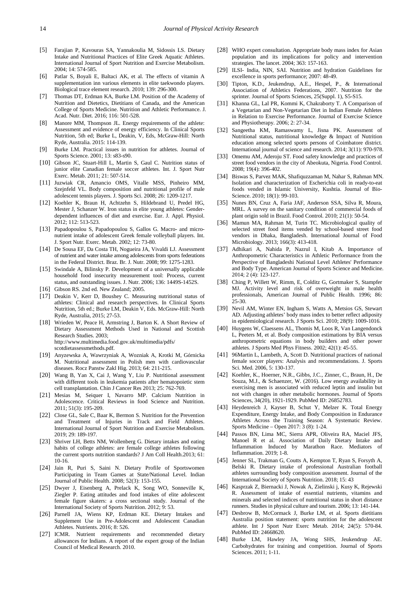- <span id="page-6-0"></span>[5] Farajian P, Kavouras SA, Yannakoulia M, Sidossis LS. Dietary Intake and Nutritional Practices of Elite Greek Aquatic Athletes. International Journal of Sport Nutrition and Exercise Metabolism. 2004; 14: 574-585.
- [6] Patlar S, Boyali E, Baltaci AK, et al. The effects of vitamin A supplementation inn various elements in elite taekwondo players. Biological trace element research. 2010; 139: 296-300.
- <span id="page-6-1"></span>[7] Thomas DT, Erdman KA, Burke LM. Position of the Academy of Nutrition and Dietetics, Dietitians of Canada, and the American College of Sports Medicine. Nutrition and Athletic Performance. J. Acad. Nutr. Diet. 2016; 116: 501-528.
- [8] Manore MM, Thompson JL. Energy requirements of the athlete: Assessment and evidence of energy efficiency. In Clinical Sports Nutrition, 5th ed; Burke L, Deakin, V, Eds, McGraw-Hill: North Ryde, Australia. 2015: 114-139.
- [9] Burke LM. Practical issues in nutrition for athletes. Journal of Sports Science. 2001; 13: s83-s90.
- <span id="page-6-2"></span>[10] Gibson JC, Stuart-Hill L, Martin S, Gaul C. Nutrition status of junior elite Canadian female soccer athletes. Int. J. Sport Nutr Exerc. Metab. 2011; 21: 507-514.
- [11] Juzwiak CR, Amancio OMS, Vitalle MSS, Pinheiro MM, Szeinfeld VL. Body composition and nutritional profile of male adolescent tennis players. J. Sports Sci. 2008; 26: 1209-1217.
- [12] Koehler K, Braun H, Achtzehn S, Hildebrand U, Predel HG, Mester J, Schanzer W. Iron status in elite young athletes: Genderdependent influences of diet and exercise. Eur. J. Appl. Physiol. 2012; 112: 513-523.
- [13] Papadopoulou S, Papadopoulou S, Gallos G. Macro- and micronutrient intake of adolescent Greek female volleyball players. Int. J. Sport Nutr. Exerc. Metab. 2002; 12: 73-80.
- <span id="page-6-3"></span>[14] De Sousa EF, Da Costa TH, Nogueira JA, Vivaldi LJ. Assessment of nutrient and water intake among adolescents from sports federations in the Federal District. Braz. Br. J. Nutr. 2008; 99: 1275-1283.
- <span id="page-6-4"></span>[15] Swindale A, Bilinsky P. Development of a universally applicable household food insecurity measurement tool: Process, current status, and outstanding issues. J. Nutr. 2006; 136: 1449S-1452S.
- <span id="page-6-5"></span>[16] Gibson RS. 2nd ed. New Zealand: 2005.
- <span id="page-6-6"></span>[17] Deakin V, Kerr D, Boushey C. Measuring nutritional status of athletes: Clinical and research perspectives. In Clinical Sports Nutrition, 5th ed.; Burke LM, Deakin V, Eds. McGraw-Hill: North Ryde, Australia, 2015; 27-53.
- <span id="page-6-7"></span>[18] Wrieden W, Peace H, Armstring J, Barton K. A Short Review of Dietary Assessment Methods Used in National and Scottish Research Studies. 2003; http://www.multimedia.food.gov.uk/multimedia/pdfs/ scotdietassessmethods.pdf.
- [19] Anyzewska A, Wawrzyniak A, Wozniak A, Krotki M, Górnicka M. Nutritional assessment in Polish men with cardiovascular diseases. Rocz Panstw Zakl Hig. 2013; 64: 211-215.
- [20] Wang B, Yan X, Cai J, Wang Y, Liu P. Nutritional assessment with different tools in leukemia patients after hematopoietic stem cell transplantation. Chin J Cancer Res 2013; 25: 762-769.
- <span id="page-6-8"></span>[21] Mesias M, Seiquer I, Navarro MP. Calcium Nutrition in Adolescence. Critical Reviews in food Science and Nutrition. 2011; 51(3): 195-209.
- <span id="page-6-9"></span>[22] Close GL, Sale C, Baar K, Bermon S. Nutrition for the Prevention and Treatment of Injuries in Track and Field Athletes. International Journal of Sport Nutrition and Exercise Metabolism. 2019; 29: 189-197.
- <span id="page-6-10"></span>[23] Shriver LH, Betts NM, Wollenberg G. Dietary intakes and eating habits of college athletes: are female college athletes following the current sports nutrition standards? J Am Coll Health.2013; 61: 10-16.
- <span id="page-6-11"></span>[24] Jain R, Puri S, Saini N. Dietary Profile of Sportswomen Participating in Team Games at State/National Level. Indian Journal of Public Health. 2008; 52(3): 153-155.
- <span id="page-6-12"></span>[25] Dwyer J, Eisenberg A, Prelack K, Song WO, Sonneville K, Ziegler P. Eating attitudes and food intakes of elite adolescent female figure skaters: a cross sectional study. Journal of the International Society of Sports Nutrition. 2012; 9: 53.
- <span id="page-6-13"></span>[26] Parnell JA, Wiens KP, Erdman KE. Dietary Intakes and Supplement Use in Pre-Adolescent and Adolescent Canadian Athletes. Nutrients. 2016; 8: 526.
- <span id="page-6-14"></span>[27] ICMR. Nutrient requirements and recommended dietary allowances for Indians. A report of the expert group of the Indian Council of Medical Research. 2010.
- <span id="page-6-15"></span>[28] WHO expert consultation. Appropriate body mass index for Asian population and its implications for policy and intervention strategies. The lancet. 2004; 363: 157-163.
- <span id="page-6-16"></span>[29] ILSI- India, NIN, SAI. Nutrition and hydration Guidelines for excellence in sports performance; 2007: 48-49.
- <span id="page-6-17"></span>[30] Tipton, K.D., Jeukendrup, A.E., Hespel, P., & International Association of Athletics Federations, 2007. Nutrition for the sprinter. Journal of Sports Sciences, 25(Suppl. 1), S5-S15.
- <span id="page-6-18"></span>[31] Khanna GL, Lal PR, Kommi K, Chakraborty T. A Comparison of a Vegetarian and Non-Vegetarian Diet in Indian Female Athletes in Relation to Exercise Performance. Journal of Exercise Science and Physiotherapy. 2006; 2: 27-34.
- <span id="page-6-19"></span>[32] Sangeetha KM, Ramaswamy L, Jisna PK. Assessment of Nutritional status, nutritional knowledge & Impact of Nutrition education among selected sports persons of Coimbatore district. International journal of science and research. 2014; 3(11): 970-978.
- <span id="page-6-20"></span>[33] Omemu AM, Aderoju ST. Food safety knowledge and practices of street food vendors in the city of Abeokuta, Nigeria. Food Control.  $2008:19(4):396-402.$
- [34] Biswas S, Parvez MAK, Shafiquzzaman M, Nahar S, Rahman MN. Isolation and characterization of Escherichia coli in ready-to-eat foods vended in Islamic University, Kushtia. Journal of Bio-Science. 2010; 18(1): 99-103.
- [35] Nunes BN, Cruz A, Faria JAF, Anderson SSA, Silva R, Moura, MRL. A survey on the sanitary condition of commercial foods of plant origin sold in Brazil. Food Control. 2010; 21(1): 50-54.
- [36] Mamun MA, Rahman M, Turin TC. Microbiological quality of selected street food items vended by school-based street food vendors in Dhaka, Bangladesh. International Journal of Food Microbiology. 2013; 166(3): 413-418.
- <span id="page-6-21"></span>[37] Adhikari A, Nahida P, Nazrul I, Kitab A. Importance of Anthropometric Characteristics in Athletic Performance from the Perspective of Bangladeshi National Level Athletes' Performance and Body Type. American Journal of Sports Science and Medicine. 2014; 2 (4): 123-127.
- <span id="page-6-22"></span>[38] Ching P, Willett W, Rimm, E, Colditz G, Gortmaker S, Stampfer MJ. Activity level and risk of overweight in male health professionals, American Journal of Public Health. 1996; 86: 25-30.
- <span id="page-6-23"></span>[39] Nevil AM, Winter EN, Ingham S, Watts A, Metsios GS, Stewart AD. Adjusting athletes' body mass index to better reflect adiposity in epidemiological research. J Sports Sci. 2010; 28(9): 1009-1016.
- [40] Huygens W, Claessens AL, Thomis M, Loos R, Van Langendonck L, Peeters M, et al. Body composition estimations by BIA versus anthropometric equations in body builders and other power athletes. J Sports Med Phys Fitness. 2002; 42(1): 45-55.
- <span id="page-6-24"></span>[41] 96Martin L, Lambeth, A, Scott D. Nutritional practices of national female soccer players: Analysis and recommendations. J. Sports Sci. Med. 2006, 5: 130-137.
- <span id="page-6-25"></span>[42] Koehler, K., Hoerner, N.R., Gibbs, J.C., Zinner, C., Braun, H., De Souza, M.J., & Schaenzer, W. (2016). Low energy availability in exercising men is associated with reduced leptin and insulin but not with changes in other metabolic hormones. Journal of Sports Sciences, 34(20), 1921-1929. PubMed ID: 26852783.
- <span id="page-6-26"></span>[43] Heydenreich J, Kayser B, Schut Y, Melzer K. Total Energy Expenditure, Energy Intake, and Body Composition in Endurance Athletes Across the Training Season: A Systematic Review. Sports Medicine – Open 2017: 3 (8): 1-24.
- <span id="page-6-27"></span>[44] Passos BN, Lima MC, Sierra APR, Oliveira RA, Maciel JFS, Manoel R et al. Association of Daily Dietary Intake and Inflammation Induced by Marathon Race. Mediators of Inflammation. 2019; 1-8.
- <span id="page-6-28"></span>[45] Jenner SL, Trakman G, Coutts A, Kempton T, Ryan S, Forsyth A, Belski R. Dietary intake of professional Australian football athletes surrounding body composition assessment. Journal of the International Society of Sports Nutrition. 2018; 15: 43
- <span id="page-6-29"></span>[46] Kasprzak Z, Biernacki J, Nowak A, Zielinski j, Kusy K, Rejewski R. Assessment of intake of essential nutrients, vitamins and minerals and selected indices of nutritional status in short distance runners. Studies in physical culture and tourism. 2006; 13: 141-144.
- <span id="page-6-30"></span>[47] Desbrow B, McCormack J, Burke LM, et al. Sports dietitians Australia position statement: sports nutrition for the adolescent athlete. Int J Sport Nutr Exerc Metab. 2014; 24(5): 570-84. PubMed ID: 24668620.
- <span id="page-6-31"></span>[48] Burke LM, Hawley JA, Wong SHS, Jeukendrup AE. Carbohydrates for training and competition. Journal of Sports Sciences. 2011; 1-11.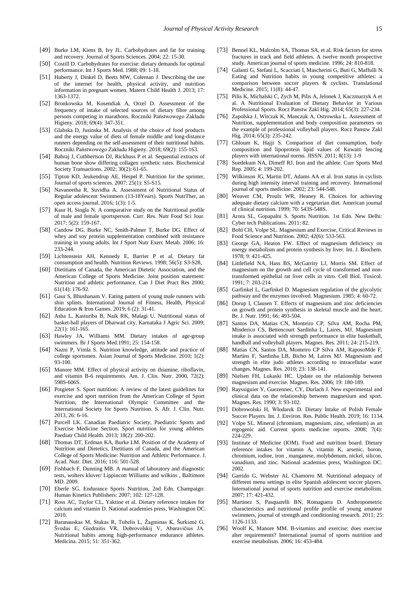- <span id="page-7-0"></span>[49] Burke LM, Kiens B, Ivy JL. Carbohydrates and fat for training and recovery. Journal of Sports Sciences. 2004; 22: 15-30.
- <span id="page-7-1"></span>[50] Costill D. Carbohydrates for exercise: dietary demands for optimal performance. Int J Sports Med. 1988; 09: 1-18.
- <span id="page-7-2"></span>[51] Huberty J, Dinkel D, Beets MW, Coleman J. Describing the use of the internet for health, physical activity, and nutrition information in pregnant women. Matern Child Health J. 2013; 17: 1363-1372.
- <span id="page-7-3"></span>[52] Bronkowska M, Kosendiak A, Orzel D. Assessment of the frequency of intake of selected sources of dietary fibre among persons competing in marathons. Roczniki Państwowego Zakładu Higieny. 2018; 69(4): 347-351.
- [53] Glabska D, Jusinska M. Analysis of the choice of food products and the energy value of diets of female middle and long-distance runners depending on the self-assessment of their nutritional habits. Roczniki Państwowego Zakładu Higieny. 2018; 69(2): 155-163.
- <span id="page-7-4"></span>[54] Babraj J, Cuthbertson DJ, Rickhuss P et al. Sequential extracts of human bone show differing collagen synthetic rates. Biochemical Society Transactions. 2002; 30(2): 61-65.
- <span id="page-7-5"></span>[55] Tipton KD, Jeukendrup AE, Hespel P. Nutrition for the sprinter, Journal of sports sciences. 2007; 25(1): S5-S15.
- <span id="page-7-6"></span>[56] Navaneetha R, Suvidha A. Assessment of Nutritional Status of Regular adolescent Swimmers (13-18Years). Sports NutrTher, an open access journal. 2016; 1(3): 1-5.
- <span id="page-7-17"></span>[57] Kaur H, Singla N. A comparative study on the Nutritional profile of male and female sportsperson. Curr. Res. Nutr Food Sci Jour*.*  2017; 5(2): 159-167.
- <span id="page-7-7"></span>[58] Candow DG, Burke NC, Smith-Palmer T, Burke DG. Effect of whey and soy protein supplementation combined with resistance training in young adults. Int J Sport Nutr Exerc Metab. 2006; 16: 233-244.
- <span id="page-7-8"></span>[59] Lichtenstein AH, Kennedy E, Barrier P et al. Dietary fat consumption and health. Nutrition Reviews. 1998; 56(5): S3-S28,
- <span id="page-7-9"></span>[60] Dietitians of Canada, the American Dietetic Association, and the American College of Sports Medicine. Joint position statement: Nutrition and athletic performance. Can J Diet Pract Res 2000;  $61(14)$ : 176-92.
- <span id="page-7-10"></span>[61] Gaur S, Bhushanam V. Eating pattern of young male runners with shin splints. International Journal of Fitness, Health, Physical Education & Iron Games. 2019; 6 (2): 31-41.
- [62] Asha L, Kasturiba B, Naik RK, Malagi U. Nutritional status of basket-ball players of Dharwad city. Karnataka J Agric Sci. 2009; 22(1): 161-165.
- [63] Hawley JA, Williams MM. Dietary intakes of age-group swimmers. Br J Sports Med.1991; 25: 154-158.
- <span id="page-7-11"></span>[64] Nazni P, Vimla S. Nutrition knowledge, attitude and practice of college sportsmen. Asian Journal of Sports Medicine. 2010; 1(2): 93-100.
- <span id="page-7-13"></span>[65] Manore MM. Effect of physical activity on thiamine, riboflavin, and vitamin B-6 requirements. Am. J. Clin. Nutr. 2000, 72(2): 598S-606S.
- [66] Potgieter S. Sport nutrition: A review of the latest guidelines for exercise and sport nutrition from the American College of Sport Nutrition, the International Olympic Committee and the International Society for Sports Nutrition. S. Afr. J. Clin. Nutr. 2013, 26: 6-16.
- <span id="page-7-14"></span>[67] Purcell LK. Canadian Paediatric Society, Paediatric Sports and Exercise Medicine Section. Sport nutrition for young athletes. Paediatr Child Health. 2013; 18(2): 200-202.
- [68] Thomas DT, Erdman KA, Burke LM. Position of the Academy of Nutrition and Dietetics, Dietitians of Canada, and the American College of Sports Medicine: Nutrition and Athletic Performance. J. Acad. Nutr. Diet. 2016; 116: 501-528.
- <span id="page-7-15"></span>[69] Fishbach F, Dunning MB. A manual of laboratory and diagnostic tests, wolters kluver/ Lippincott Williams and wilkins , Baltimore MD. 2009.
- <span id="page-7-16"></span>[70] Eberle SG. Endurance Sports Nutrition, 2nd Edn. Champaign: Human Kinetics Publishers: 2007; 102: 127-128.
- [71] Ross AC, Taylor CL, Yaktine et al. Dietary reference intakes for calcium and vitamin D. National academies press, Washington DC. 2010.
- <span id="page-7-34"></span>[72] Baranauskas M, Stukas R, Tubelis L, Žagminas K, Šurkienė G, Švedas E, Giedraitis VR, Dobrovolskij V, Abaravičius JA. Nutritional habits among high-performance endurance athletes. Medicina. 2015; 51: 351-362.
- <span id="page-7-18"></span>[73] Bennel KL, Malcolm SA, Thomas SA, et al. Risk factors for stress fractures in track and field athletes. A twelve month prospective study. American journal of sports medicine. 1996; 24: 810-818.
- <span id="page-7-12"></span>[74] Galanti G, Stefani L, Scacciati I, Mascherini G, Buti G, Maffulli N. Eating and Nutrition habits in young competitive athletes: a comparison between soccer players & cyclists. Translational Medicine. 2015; 11(8): 44-47.
- <span id="page-7-19"></span>[75] Pilis K, Michalski C, Zych M, Pilis A, Jelonek J, Kaczmarzyk A et al. A Nutritional Evaluation of Dietary Behavior in Various Professional Sports. Rocz Panstw Zakl Hig. 2014; 65(3): 227-234.
- <span id="page-7-20"></span>[76] Zapolska J, Witczak K, Manczuk A, Ostrowska L. Assessment of Nutrition, supplementation and body composition parameters on the example of professional volleyball players. Rocz Panstw Zakl Hig. 2014; 65(3): 235-242.
- <span id="page-7-21"></span>[77] Ghloum K, Hajji S. Comparison of diet consumption, body composition and lipoprotein lipid values of Kuwaiti fencing players with international norms. JISSN. 2011; 8(13): 1-9
- <span id="page-7-22"></span>[78] Suedekum NA, Dimeff RJ. Iron and the athlete. Curr Sports Med Rep. 2005; 4: 199-202.
- [79] Wilkinson JG, Martin DT, Adams AA et al. Iron status in cyclists during high intensity interval training and recovery. International journal of sports medicine. 2002; 23: 544-548.
- <span id="page-7-23"></span>[80] Weaver CM, Proulx WR, Heaney R. Choices for achieving adequate dietary calcium with a vegetarian diet. American journal of clinical nutrition. 1999; 70: 543S-548S.
- <span id="page-7-24"></span>[81] Arora SL, Gopapalni S. Sports Nutrition. 1st Edn. New Delhi: Cyber tech Publications. 2011: 82.
- <span id="page-7-25"></span>[82] Bohl CH, Volpe SL. Magnesium and Exercise, Critical Reviews in Food Science and Nutrition. 2002; 42(6): 533-563.
- <span id="page-7-26"></span>[83] George GA, Heaton FW. Effect of magnesium deficiency on energy metabolism and protein synthesis by liver. Int. J. Biochem. 1978; 9: 421-425.
- <span id="page-7-27"></span>[84] Littlefield NA, Hass BS, McGarrity LJ, Morris SM. Effect of magnesium on the growth and cell cycle of transformed and nontransformed epithelial rat liver cells in vitro. Cell Biol. Toxicol. 1991; 7: 203-214.
- <span id="page-7-28"></span>[85] Garfinkel L, Garfinkel D. Magnesium regulation of the glycolytic pathway and the enzymes involved. Magnesium. 1985; 4: 60-72.
- <span id="page-7-29"></span>[86] Dorup I, Clausen T. Effects of magnesium and zinc deficiencies on growth and protein synthesis in skeletal muscle and the heart. Br. J. Nutr. 1991; 66: 493-504.
- <span id="page-7-30"></span>[87] Santos DA, Matias CN, Monteiro CP, Silva AM, Rocha PM, Minderico CS, Bettencourt Sardinha L, Laires, MJ. Magnesium intake is associated with strength performance in elite basketball, handball and volleyball players. Magnes. Res. 2011; 24: 215-219.
- [88] Matias CN, Santos DA, Monteiro CP Silva AM, RaposoMde F, Martins F, Sardinha LB, Bicho M, Laires MJ. Magnesium and strength in elite judo athletes according to intracellular water changes. Magnes. Res. 2010; 23: 138-141.
- <span id="page-7-31"></span>[89] Nielsen FH, Lukaski HC. Update on the relationship between magnesium and exercise. Magnes. Res. 2006; 19: 180-189.
- [90] Rayssiguier Y, Guezennec, CY, Durlach J. New experimental and clinical data on the relationship between magnesium and sport. Magnes. Res. 1990; 3: 93-102.
- <span id="page-7-32"></span>[91] Dobrowolski H, Włodarek D. Dietary Intake of Polish Female Soccer Players. Int. J. Environ. Res. Public Health. 2019; 16: 1134.
- <span id="page-7-33"></span>[92] Volpe SL. Mineral (chromium, magnesium, zinc, selenium) as an ergogenic aid. Current sports medicine reports. 2008; 7(4): 224-229.
- <span id="page-7-35"></span>[93] Institute of Medicine (IOM). Food and nutrition board. Dietary reference intakes for vitamin A, vitamin K, arsenic, boron, chromium, iodine, iron , manganese, molybdenum, nickel, silicon, vanadium, and zinc. National academies press, Washington DC. 2002.
- <span id="page-7-36"></span>[94] Garrido G, Webster AI, Chamorro M. Nutritional adequacy of different menu settings in elite Spanish adolescent soccer players. International journal of sports nutrition and exercise metabolism. 2007; 17: 421-432.
- <span id="page-7-37"></span>[95] Martinez S, Pasquarelli BN, Romaguera D. Anthropometric characteristics and nutritional profile profile of young amateur swimmers, journal of strength and conditioning research. 2011; 25: 1126-1133.
- <span id="page-7-38"></span>[96] Woolf K, Manore MM. B-vitamins and exercise: does exercise alter requirements? International journal of sports nutrition and exercise metabolism. 2006; 16: 453-484.